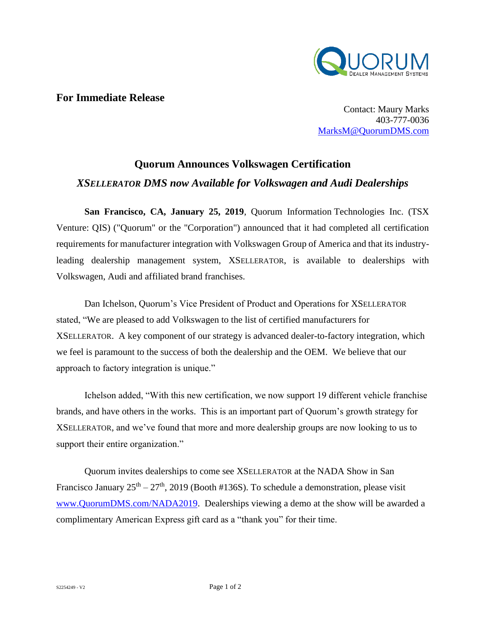

## **For Immediate Release**

Contact: Maury Marks 403-777-0036 [MarksM@QuorumDMS.com](mailto:MarksM@QuorumDMS.com)

## **Quorum Announces Volkswagen Certification** *XSELLERATOR DMS now Available for Volkswagen and Audi Dealerships*

**San Francisco, CA, January 25, 2019**, Quorum Information Technologies Inc. (TSX Venture: QIS) ("Quorum" or the "Corporation") announced that it had completed all certification requirements for manufacturer integration with Volkswagen Group of America and that its industryleading dealership management system, XSELLERATOR, is available to dealerships with Volkswagen, Audi and affiliated brand franchises.

Dan Ichelson, Quorum's Vice President of Product and Operations for XSELLERATOR stated, "We are pleased to add Volkswagen to the list of certified manufacturers for XSELLERATOR. A key component of our strategy is advanced dealer-to-factory integration, which we feel is paramount to the success of both the dealership and the OEM. We believe that our approach to factory integration is unique."

Ichelson added, "With this new certification, we now support 19 different vehicle franchise brands, and have others in the works. This is an important part of Quorum's growth strategy for XSELLERATOR, and we've found that more and more dealership groups are now looking to us to support their entire organization."

Quorum invites dealerships to come see XSELLERATOR at the NADA Show in San Francisco January  $25<sup>th</sup> - 27<sup>th</sup>$ , 2019 (Booth #136S). To schedule a demonstration, please visit [www.QuorumDMS.com/NADA2019.](http://www.quorumdms.com/NADA2019) Dealerships viewing a demo at the show will be awarded a complimentary American Express gift card as a "thank you" for their time.